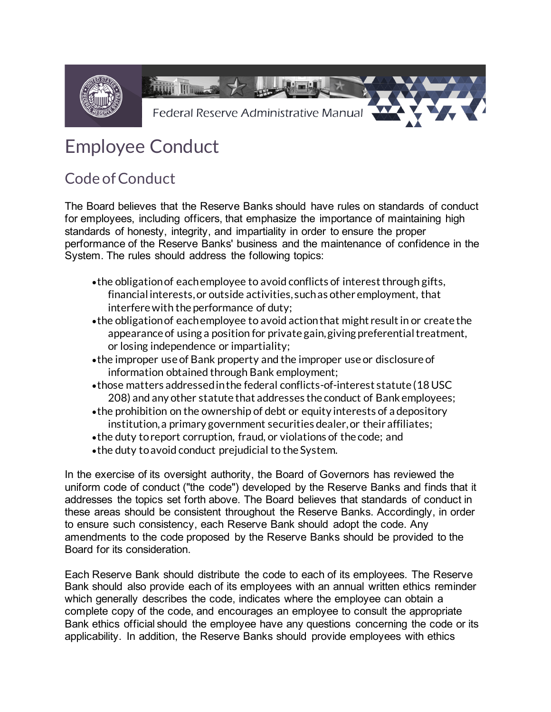

## Employee Conduct

## Code of Conduct

 The Board believes that the Reserve Banks should have rules on standards of conduct for employees, including officers, that emphasize the importance of maintaining high standards of honesty, integrity, and impartiality in order to ensure the proper performance of the Reserve Banks' business and the maintenance of confidence in the System. The rules should address the following topics:

- •the obligation of each employee to avoid conflicts of interest through gifts, financial interests, or outside activities, such as other employment, that interfere with the performance of duty;
- •the obligation of each employee to avoid action that might result in or create the appearance of using a position for private gain, giving preferential treatment, or losing independence or impartiality;
- •the improper use of Bank property and the improper use or disclosure of information obtained through Bank employment;
- •those matters addressed in the federal conflicts-of-interest statute (18 USC 208) and any other statute that addresses the conduct of Bank employees;
- •the prohibition on the ownership of debt or equity interests of a depository institution, a primary government securities dealer, or their affiliates;
- •the duty to report corruption, fraud, or violations of the code; and
- •the duty to avoid conduct prejudicial to the System.

 In the exercise of its oversight authority, the Board of Governors has reviewed the uniform code of conduct ("the code") developed by the Reserve Banks and finds that it addresses the topics set forth above. The Board believes that standards of conduct in these areas should be consistent throughout the Reserve Banks. Accordingly, in order to ensure such consistency, each Reserve Bank should adopt the code. Any Board for its consideration. amendments to the code proposed by the Reserve Banks should be provided to the

 Each Reserve Bank should distribute the code to each of its employees. The Reserve Bank should also provide each of its employees with an annual written ethics reminder which generally describes the code, indicates where the employee can obtain a complete copy of the code, and encourages an employee to consult the appropriate Bank ethics official should the employee have any questions concerning the code or its applicability. In addition, the Reserve Banks should provide employees with ethics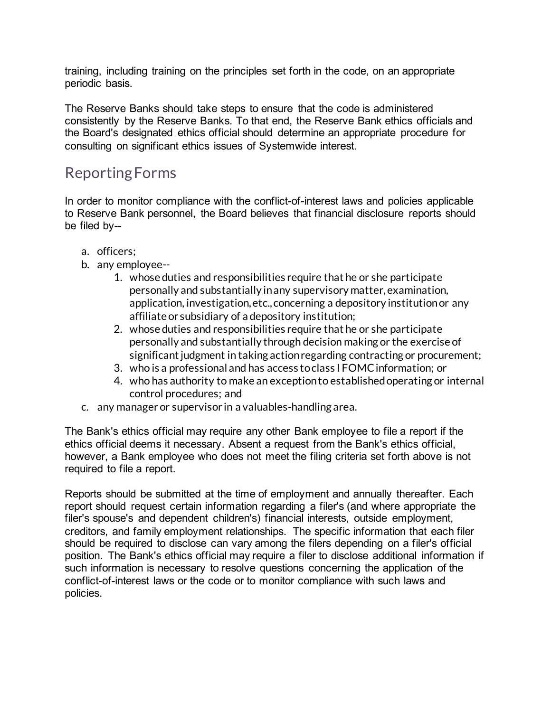training, including training on the principles set forth in the code, on an appropriate periodic basis.

 The Reserve Banks should take steps to ensure that the code is administered consistently by the Reserve Banks. To that end, the Reserve Bank ethics officials and the Board's designated ethics official should determine an appropriate procedure for consulting on significant ethics issues of Systemwide interest.

## Reporting Forms

 In order to monitor compliance with the conflict-of-interest laws and policies applicable to Reserve Bank personnel, the Board believes that financial disclosure reports should be filed by--

- a. officers;
- b. any employee--
	- 1. whose duties and responsibilities require that he or she participate personally and substantially in any supervisory matter, examination, application, investigation, etc., concerning a depository institution or any affiliate or subsidiary of a depository institution;
	- 2. whose duties and responsibilities require that he or she participate personally and substantially through decision making or the exercise of significant judgment in taking action regarding contracting or procurement;
	- 3. who is a professional and has access to class I FOMC information; or
	- 4. who has authority to make an exceptionto established operating or internal control procedures; and
- c. any manager or supervisor in a valuables-handling area.

 The Bank's ethics official may require any other Bank employee to file a report if the ethics official deems it necessary. Absent a request from the Bank's ethics official, however, a Bank employee who does not meet the filing criteria set forth above is not required to file a report.

 Reports should be submitted at the time of employment and annually thereafter. Each filer's spouse's and dependent children's) financial interests, outside employment, creditors, and family employment relationships. The specific information that each filer should be required to disclose can vary among the filers depending on a filer's official position. The Bank's ethics official may require a filer to disclose additional information if such information is necessary to resolve questions concerning the application of the conflict-of-interest laws or the code or to monitor compliance with such laws and report should request certain information regarding a filer's (and where appropriate the policies.